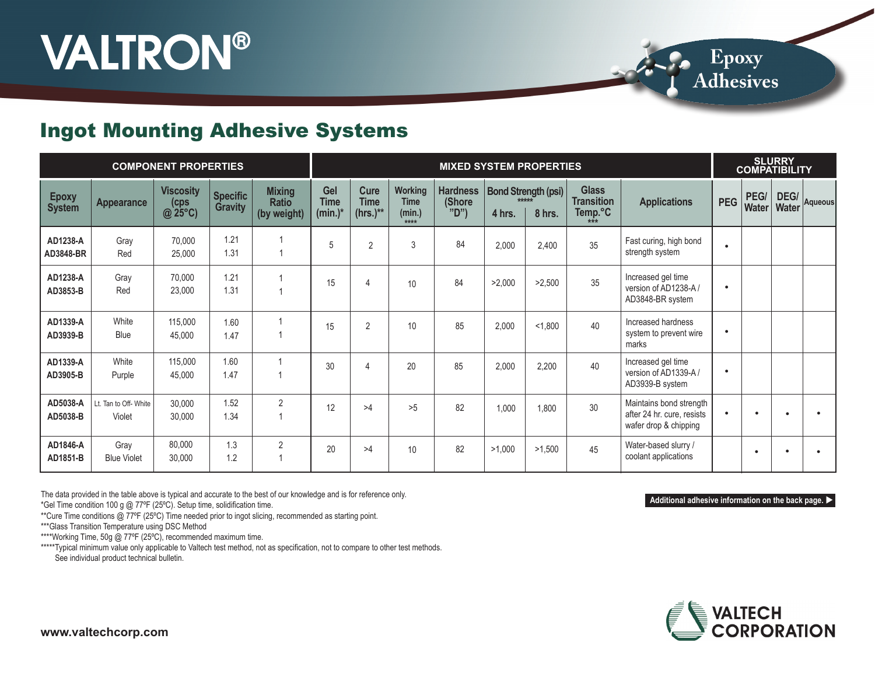# **VALTRON®**

**Epoxy**<br>Adhesives

#### Ingot Mounting Adhesive Systems

|                               |                                 | <b>COMPONENT PROPERTIES</b>                |                                   |                                              |                                  | <b>MIXED SYSTEM PROPERTIES</b>    |                                                  |                                  |        |                                               |                                                                        |                                                                                | <b>SLURRY</b><br><b>COMPATIBILITY</b> |                      |               |         |
|-------------------------------|---------------------------------|--------------------------------------------|-----------------------------------|----------------------------------------------|----------------------------------|-----------------------------------|--------------------------------------------------|----------------------------------|--------|-----------------------------------------------|------------------------------------------------------------------------|--------------------------------------------------------------------------------|---------------------------------------|----------------------|---------------|---------|
| <b>Epoxy</b><br><b>System</b> | <b>Appearance</b>               | <b>Viscosity</b><br>(cps<br>$\omega$ 25°C) | <b>Specific</b><br><b>Gravity</b> | <b>Mixing</b><br><b>Ratio</b><br>(by weight) | Gel<br><b>Time</b><br>$(min.)^*$ | Cure<br><b>Time</b><br>$(hrs.)**$ | <b>Working</b><br><b>Time</b><br>(min.)<br>$***$ | <b>Hardness</b><br>(Shore<br>"D" | 4 hrs. | <b>Bond Strength (psi)</b><br>*****<br>8 hrs. | <b>Glass</b><br><b>Transition</b><br>Temp. $\mathrm{C}_{\ast\ast\ast}$ | <b>Applications</b>                                                            | <b>PEG</b>                            | PEG/<br><b>Water</b> | DEG/<br>Water | Aqueous |
| AD1238-A<br>AD3848-BR         | Gray<br>Red                     | 70,000<br>25,000                           | 1.21<br>1.31                      |                                              | 5                                | $\overline{2}$                    | 3                                                | 84                               | 2,000  | 2,400                                         | 35                                                                     | Fast curing, high bond<br>strength system                                      | $\bullet$                             |                      |               |         |
| AD1238-A<br>AD3853-B          | Gray<br>Red                     | 70,000<br>23,000                           | 1.21<br>1.31                      | $\mathbf{1}$                                 | 15                               | $\overline{4}$                    | 10                                               | 84                               | >2,000 | >2,500                                        | 35                                                                     | Increased gel time<br>version of AD1238-A/<br>AD3848-BR system                 | $\bullet$                             |                      |               |         |
| AD1339-A<br>AD3939-B          | White<br><b>Blue</b>            | 115,000<br>45,000                          | 1.60<br>1.47                      | $\mathbf{1}$<br>$\overline{1}$               | 15                               | $\overline{2}$                    | 10                                               | 85                               | 2,000  | < 1,800                                       | 40                                                                     | Increased hardness<br>system to prevent wire<br>marks                          | $\bullet$                             |                      |               |         |
| AD1339-A<br>AD3905-B          | White<br>Purple                 | 115,000<br>45,000                          | 1.60<br>1.47                      | 1<br>1                                       | 30                               | $\overline{4}$                    | 20                                               | 85                               | 2,000  | 2,200                                         | 40                                                                     | Increased gel time<br>version of AD1339-A/<br>AD3939-B system                  | ٠                                     |                      |               |         |
| AD5038-A<br>AD5038-B          | Lt. Tan to Off- White<br>Violet | 30,000<br>30,000                           | 1.52<br>1.34                      | $\overline{2}$                               | 12                               | >4                                | >5                                               | 82                               | 1,000  | 1,800                                         | 30                                                                     | Maintains bond strength<br>after 24 hr. cure, resists<br>wafer drop & chipping |                                       |                      |               |         |
| AD1846-A<br>AD1851-B          | Gray<br><b>Blue Violet</b>      | 80,000<br>30,000                           | 1.3<br>1.2                        | $\overline{2}$                               | 20                               | >4                                | 10                                               | 82                               | >1,000 | >1,500                                        | 45                                                                     | Water-based slurry /<br>coolant applications                                   |                                       |                      |               |         |

The data provided in the table above is typical and accurate to the best of our knowledge and is for reference only.

\*Gel Time condition 100 g @ 77ºF (25ºC). Setup time, solidification time.

\*\*Cure Time conditions @ 77ºF (25ºC) Time needed prior to ingot slicing, recommended as starting point.

\*\*\*Glass Transition Temperature using DSC Method

\*\*\*\*Working Time, 50g @ 77°F (25°C), recommended maximum time.

\*\*\*\*\*Typical minimum value only applicable to Valtech test method, not as specification, not to compare to other test methods. See individual product technical bulletin.



**Additional adhesive information on the back page.**